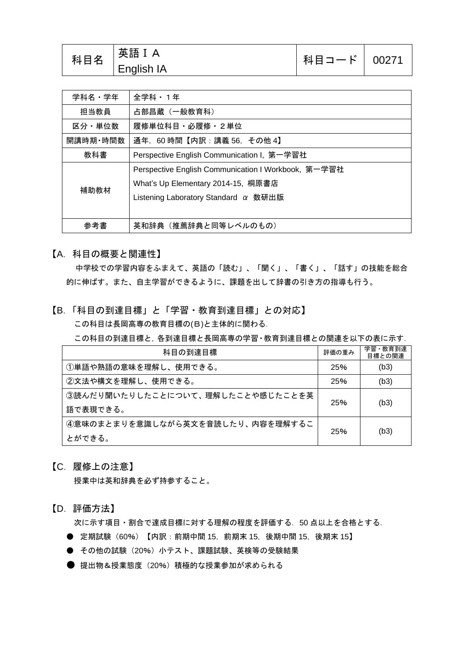| 科目名 | │英語 I A<br><b>English IA</b> | 科目コード   00271 |  |
|-----|------------------------------|---------------|--|
|-----|------------------------------|---------------|--|

| 学科名・学年   | 全学科 · 1年                                            |
|----------|-----------------------------------------------------|
| 担当教員     | 占部昌蔵 (一般教育科)                                        |
| 区分・単位数   | 履修単位科目・必履修・2単位                                      |
| 開講時期・時間数 | 通年, 60時間【内訳:講義 56, その他 4】                           |
| 教科書      | Perspective English Communication I, 第一学習社          |
|          | Perspective English Communication I Workbook, 第一学習社 |
| 補助教材     | What's Up Elementary 2014-15, 桐原書店                  |
|          | Listening Laboratory Standard $\alpha$ 数研出版         |
|          |                                                     |
| 参考書      | 英和辞典(推薦辞典と同等レベルのもの)                                 |

【A.科目の概要と関連性】

中学校での学習内容をふまえて、英語の「読む」、「聞く」、「書く」、「話す」の技能を総合 的に伸ばす。また、自主学習ができるように、課題を出して辞書の引き方の指導も行う。

## 【B.「科目の到達目標」と「学習・教育到達目標」との対応】

この科目は長岡高専の教育目標の(B)と主体的に関わる.

この科目の到達目標と,各到達目標と長岡高専の学習・教育到達目標との関連を以下の表に示す.

| 科目の到達目標                          | 評価の重み | 学習・教育到達<br>目標との関連 |
|----------------------------------|-------|-------------------|
| ①単語や熟語の意味を理解し、使用できる。             | 25%   | (b3)              |
| ②文法や構文を理解し、使用できる。                | 25%   | (b3)              |
| ③読んだり聞いたりしたことについて、理解したことや感じたことを英 | 25%   |                   |
| 語で表現できる。                         |       | (b3)              |
| ④意味のまとまりを意識しながら英文を音読したり、内容を理解するこ | 25%   |                   |
| とができる。                           |       | (b3)              |

【C.履修上の注意】

授業中は英和辞典を必ず持参すること。

【D.評価方法】

次に示す項目・割合で達成目標に対する理解の程度を評価する. 50 点以上を合格とする.

- 定期試験 (60%) 【内訳:前期中間 15, 前期末 15, 後期中間 15, 後期末 15】
- その他の試験 (20%) 小テスト、課題試験、英検等の受験結果
- 提出物&授業態度(20%)積極的な授業参加が求められる